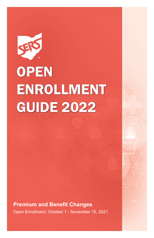# **OPEN** ENROLLMENT GUIDE 2022

**Premium and Benefit Changes** Open Enrollment: October 1 - November 15, 2021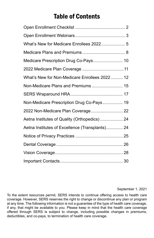# Table of Contents

| What's New for Medicare Enrollees 2022 5        |  |
|-------------------------------------------------|--|
|                                                 |  |
| Medicare Prescription Drug Co-Pays 10           |  |
|                                                 |  |
| What's New for Non-Medicare Enrollees 2022  12  |  |
| Non-Medicare Plans and Premiums  15             |  |
|                                                 |  |
| Non-Medicare Prescription Drug Co-Pays 19       |  |
| 2022 Non-Medicare Plan Coverage 22              |  |
| Aetna Institutes of Quality (Orthopedics)  24   |  |
| Aetna Institutes of Excellence (Transplants) 24 |  |
|                                                 |  |
|                                                 |  |
|                                                 |  |
|                                                 |  |

#### September 1, 2021

To the extent resources permit, SERS intends to continue offering access to health care coverage. However, SERS reserves the right to change or discontinue any plan or program at any time. The following information is not a guarantee of the type of health care coverage, if any, that might be available to you. Please keep in mind that the health care coverage offered through SERS is subject to change, including possible changes in premiums, deductibles, and co-pays, to termination of health care coverage.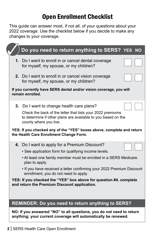# Open Enrollment Checklist

<span id="page-3-0"></span>This guide can answer most, if not all, of your questions about your 2022 coverage. Use the checklist below if you decide to make any changes to your coverage.

| Do you need to return anything to SERS? YES                                                                                                           | <b>NO</b> |
|-------------------------------------------------------------------------------------------------------------------------------------------------------|-----------|
| 1. Do I want to enroll in or cancel dental coverage<br>for myself, my spouse, or my children?                                                         |           |
| 2. Do I want to enroll in or cancel vision coverage<br>for myself, my spouse, or my children?                                                         |           |
| If you currently have SERS dental and/or vision coverage, you will<br>remain enrolled.                                                                |           |
| 3. Do I want to change health care plans?                                                                                                             |           |
| Check the back of the letter that lists your 2022 premiums<br>to determine if other plans are available to you based on the<br>county where you live. |           |
| YES: If you checked any of the "YES" boxes above, complete and return<br>the Health Care Enrollment Change Form.                                      |           |
| 4. Do I want to apply for a Premium Discount?                                                                                                         |           |
| • See application form for qualifying income levels.                                                                                                  |           |
| • At least one family member must be enrolled in a SERS Medicare<br>plan to apply.                                                                    |           |
| . If you have received a letter confirming your 2022 Premium Discount<br>enrollment, you do not need to apply.                                        |           |
| YES: If you checked the "YES" box above for question #4, complete<br>and return the Premium Discount application.                                     |           |
| <b>REMINDER: Do you need to return anything to SERS?</b>                                                                                              |           |
| NO: If you answered "NO" to all questions, you do not need to return<br>anything; your current coverage will automatically be renewed.                |           |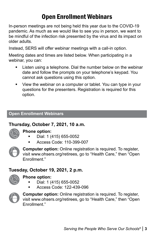# Open Enrollment Webinars

<span id="page-4-0"></span>In-person meetings are not being held this year due to the COVID-19 pandemic. As much as we would like to see you in person, we want to be mindful of the infection risk presented by the virus and its impact on older adults.

Instead, SERS will offer webinar meetings with a call-in option.

Meeting dates and times are listed below. When participating in a webinar, you can:

- Listen using a telephone. Dial the number below on the webinar date and follow the prompts on your telephone's keypad. You cannot ask questions using this option.
- View the webinar on a computer or tablet. You can type in your questions for the presenters. Registration is required for this option.

## **Open Enrollment Webinars**

# **Thursday, October 7, 2021, 10 a.m.**



## **Phone option:**

- Dial: 1 (415) 655-0052
- Access Code: 110-399-007



**Computer option:** Online registration is required. To register, visit www.ohsers.org/retirees, go to "Health Care," then "Open Enrollment."

# **Tuesday, October 19, 2021, 2 p.m.**



#### **Phone option:**

- Dial: 1 (415) 655-0052
- Access Code: 122-439-096



**Computer option:** Online registration is required. To register, visit www.ohsers.org/retirees, go to "Health Care," then "Open Enrollment."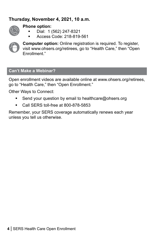# **Thursday, November 4, 2021, 10 a.m.**



#### **Phone option:**

- Dial: 1 (562) 247-8321
- Access Code: 218-819-561



**Computer option:** Online registration is required. To register, visit www.ohsers.org/retirees, go to "Health Care," then "Open Enrollment."

#### **Can't Make a Webinar?**

Open enrollment videos are available online at www.ohsers.org/retirees, go to "Health Care," then "Open Enrollment."

Other Ways to Connect:

- Send your question by email to healthcare@ohsers.org
- Call SERS toll-free at 800-878-5853

Remember, your SERS coverage automatically renews each year unless you tell us otherwise.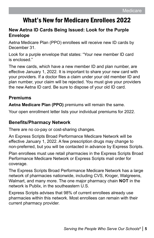# <span id="page-6-0"></span>What's New for Medicare Enrollees 2022

## **New Aetna ID Cards Being Issued: Look for the Purple Envelope**

Aetna Medicare Plan (PPO) enrollees will receive new ID cards by December 31.

Look for a purple envelope that states: "Your new member ID card is enclosed."

The new cards, which have a new member ID and plan number, are effective January 1, 2022. It is important to share your new card with your providers. If a doctor files a claim under your old member ID and plan number, your claim will be rejected. You must give your providers the new Aetna ID card. Be sure to dispose of your old ID card.

## **Premiums**

**Aetna Medicare Plan (PPO)** premiums will remain the same.

Your open enrollment letter lists your individual premiums for 2022.

## **Benefits/Pharmacy Network**

There are no co-pay or cost-sharing changes.

An Express Scripts Broad Performance Medicare Network will be effective January 1, 2022. A few prescription drugs may change to non-preferred, but you will be contacted in advance by Express Scripts.

Plan enrollees must use retail pharmacies in the Express Scripts Broad Performance Medicare Network or Express Scripts mail order for coverage.

The Express Scripts Broad Performance Medicare Network has a large network of pharmacies nationwide, including CVS, Kroger, Walgreens, Walmart, and many more. The one major pharmacy chain **NOT** in the network is Publix, in the southeastern U.S.

Express Scripts advises that 98% of current enrollees already use pharmacies within this network. Most enrollees can remain with their current pharmacy provider.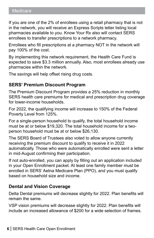If you are one of the 2% of enrollees using a retail pharmacy that is not in the network, you will receive an Express Scripts letter listing local pharmacies available to you. Know Your Rx also will contact SERS enrollees to transfer prescriptions to a network pharmacy.

Enrollees who fill prescriptions at a pharmacy NOT in the network will pay 100% of the cost.

By implementing this network requirement, the Health Care Fund is expected to save \$3.3 million annually. Also, most enrollees already use pharmacies within the network.

The savings will help offset rising drug costs.

## **SERS' Premium Discount Program**

The Premium Discount Program provides a 25% reduction in monthly SERS health care premiums for medical and prescription drug coverage for lower-income households.

For 2022, the qualifying income will increase to 150% of the Federal Poverty Level from 125%.

For a single-person household to qualify, the total household income must be at or below \$19,320. The total household income for a twoperson household must be at or below \$26,130.

The SERS Board of Trustees also voted to allow anyone currently receiving the premium discount to qualify to receive it in 2022 automatically. Those who were automatically enrolled were sent a letter in mid-August confirming their participation.

If not auto-enrolled, you can apply by filling out an application included in your Open Enrollment packet. At least one family member must be enrolled in SERS' Aetna Medicare Plan (PPO), and you must qualify based on household size and income.

# **Dental and Vision Coverage**

Delta Dental premiums will decrease slightly for 2022. Plan benefits will remain the same.

VSP vision premiums will decrease slightly for 2022. Plan benefits will include an increased allowance of \$200 for a wide selection of frames.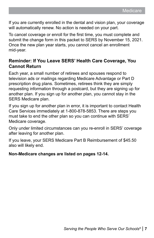If you are currently enrolled in the dental and vision plan, your coverage will automatically renew. No action is needed on your part.

To cancel coverage or enroll for the first time, you must complete and submit the change form in this packet to SERS by November 15, 2021. Once the new plan year starts, you cannot cancel an enrollment mid-year.

#### **Reminder: If You Leave SERS' Health Care Coverage, You Cannot Return**

Each year, a small number of retirees and spouses respond to television ads or mailings regarding Medicare Advantage or Part D prescription drug plans. Sometimes, retirees think they are simply requesting information through a postcard, but they are signing up for another plan. If you sign up for another plan, you cannot stay in the SERS Medicare plan.

If you sign up for another plan in error, it is important to contact Health Care Services immediately at 1-800-878-5853. There are steps you must take to end the other plan so you can continue with SERS' Medicare coverage.

Only under limited circumstances can you re-enroll in SERS' coverage after leaving for another plan.

If you leave, your SERS Medicare Part B Reimbursement of \$45.50 also will likely end.

#### **Non-Medicare changes are listed on pages 12-14.**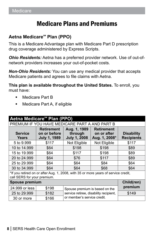# Medicare Plans and Premiums

# <span id="page-9-0"></span>**Aetna Medicare<sup>SM</sup> Plan (PPO)**

This is a Medicare Advantage plan with Medicare Part D prescription drug coverage administered by Express Scripts.

*Ohio Residents:* Aetna has a preferred provider network. Use of out-ofnetwork providers increases your out-of-pocket costs.

*Non-Ohio Residents:* You can use any medical provider that accepts Medicare patients and agrees to file claims with Aetna.

**This plan is available throughout the United States.** To enroll, you must have:

- Medicare Part B
- **Medicare Part A, if eligible**

| Aetna Medicare <sup>s</sup> Plan (PPO)                                                                            |                                                          |                                                |                                                   |                                        |
|-------------------------------------------------------------------------------------------------------------------|----------------------------------------------------------|------------------------------------------------|---------------------------------------------------|----------------------------------------|
|                                                                                                                   | PREMIUM IF YOU HAVE MEDICARE PART A AND PART B           |                                                |                                                   |                                        |
| <b>Service</b><br><b>Years</b>                                                                                    | <b>Retirement</b><br>on or before<br><b>July 1, 1989</b> | Aug. 1, 1989<br>through<br><b>July 1, 2008</b> | <b>Retirement</b><br>on or after<br>Aug. 1, 2008* | <b>Disability</b><br><b>Recipients</b> |
| 5 to 9.999                                                                                                        | \$117                                                    | Not Eligible                                   | Not Eligible                                      | \$117                                  |
| 10 to 14.999                                                                                                      | \$64                                                     | \$198                                          | \$198                                             | \$89                                   |
| 15 to 19.999                                                                                                      | \$64                                                     | \$117                                          | \$198                                             | \$89                                   |
| 20 to 24,999                                                                                                      | \$64                                                     | \$76                                           | \$117                                             | \$89                                   |
| 25 to 29,999                                                                                                      | \$64                                                     | \$64                                           | \$84                                              | \$64                                   |
| 30 to 34,999                                                                                                      | \$64                                                     | \$64                                           | \$68                                              | \$64                                   |
| *If you retired on or after Aug. 1, 2008, with 35 or more years of service credit,<br>call SERS for your premium. |                                                          |                                                |                                                   |                                        |
| <b>Spouse premium</b><br>Child(ren)                                                                               |                                                          |                                                |                                                   |                                        |
| 24,999 or less                                                                                                    | \$198                                                    | premium<br>Spouse premium is based on the      |                                                   |                                        |
| 25 to 29,999                                                                                                      | \$182                                                    | service retiree, disability recipient,         |                                                   | \$149                                  |
| 30 or more                                                                                                        | \$166                                                    | or member's service credit.                    |                                                   |                                        |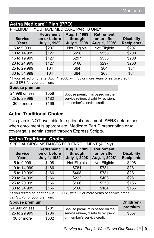| Aetna Medicare <sup>™</sup> Plan (PPO)                                                                            |                                                          |                                                |                                                   |                                        |
|-------------------------------------------------------------------------------------------------------------------|----------------------------------------------------------|------------------------------------------------|---------------------------------------------------|----------------------------------------|
|                                                                                                                   | PREMIUM IF YOU HAVE MEDICARE PART B ONLY                 |                                                |                                                   |                                        |
| <b>Service</b><br><b>Years</b>                                                                                    | <b>Retirement</b><br>on or before<br><b>July 1, 1989</b> | Aug. 1, 1989<br>through<br><b>July 1, 2008</b> | <b>Retirement</b><br>on or after<br>Aug. 1, 2008* | <b>Disability</b><br><b>Recipients</b> |
| 5 to 9.999                                                                                                        | \$297                                                    | Not Eligible                                   | Not Eligible                                      | \$297                                  |
| 10 to 14,999                                                                                                      | \$127                                                    | \$558                                          | \$558                                             | \$208                                  |
| 15 to 19.999                                                                                                      | \$127                                                    | \$297                                          | \$558                                             | \$208                                  |
| 20 to 24,999                                                                                                      | \$127                                                    | \$166                                          | \$297                                             | \$208                                  |
| 25 to 29.999                                                                                                      | \$64                                                     | \$64                                           | \$84                                              | \$64                                   |
| 30 to 34,999                                                                                                      | \$64                                                     | \$64                                           | \$68                                              | \$64                                   |
| *If you retired on or after Aug. 1, 2008, with 35 or more years of service credit,<br>call SERS for your premium. |                                                          |                                                |                                                   |                                        |
| <b>Spouse premium</b>                                                                                             |                                                          |                                                |                                                   |                                        |
| 24,999 or less                                                                                                    | \$558                                                    | Spouse premium is based on the                 |                                                   |                                        |
| 25 to 29,999                                                                                                      | \$182                                                    | service retiree, disability recipient,         |                                                   |                                        |
| 30 or more                                                                                                        | \$166                                                    | or member's service credit.                    |                                                   |                                        |

# **Aetna Traditional Choice**

This plan is NOT available for optional enrollment. SERS determines when enrollment is appropriate. Medicare Part D prescription drug coverage is administered through Express Scripts.

| <b>Aetna Traditional Choice</b>                                                                                   |                                                          |                                                |                                                   |                                        |
|-------------------------------------------------------------------------------------------------------------------|----------------------------------------------------------|------------------------------------------------|---------------------------------------------------|----------------------------------------|
|                                                                                                                   |                                                          | SPECIAL CIRCUMSTANCES FOR ENROLLMENT (A Only)  |                                                   |                                        |
| <b>Service</b><br>Years                                                                                           | <b>Retirement</b><br>on or before<br><b>July 1, 1989</b> | Aug. 1, 1989<br>through<br><b>July 1, 2008</b> | <b>Retirement</b><br>on or after<br>Aug. 1, 2008* | <b>Disability</b><br><b>Recipients</b> |
| 5 to 9.999                                                                                                        | \$408                                                    | Not Eligible                                   | Not Eligible                                      | \$408                                  |
| 10 to 14,999                                                                                                      | \$166                                                    | \$781                                          | \$781                                             | \$281                                  |
| 15 to 19,999                                                                                                      | \$166                                                    | \$408                                          | \$781                                             | \$281                                  |
| 20 to 24,999                                                                                                      | \$166                                                    | \$222                                          | \$408                                             | \$281                                  |
| 25 to 29.999                                                                                                      | \$166                                                    | \$166                                          | \$259                                             | \$166                                  |
| 30 to 34.999                                                                                                      | \$166                                                    | \$166                                          | \$184                                             | \$166                                  |
| *If you retired on or after Aug. 1, 2008, with 35 or more years of service credit,<br>call SERS for your premium. |                                                          |                                                |                                                   |                                        |
| Spouse premium<br>Child(ren)                                                                                      |                                                          |                                                |                                                   |                                        |
| 24,999 or less                                                                                                    | \$781                                                    | Spouse premium is based on the                 |                                                   | premium                                |
| 25 to 29,999                                                                                                      | \$706                                                    | service retiree, disability recipient,         |                                                   | \$557                                  |
| 30 or more                                                                                                        | \$632                                                    | or member's service credit.                    |                                                   |                                        |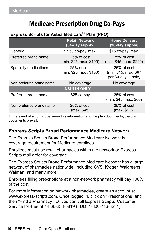# Medicare Prescription Drug Co-Pays

#### <span id="page-11-0"></span>Express Scripts for Aetna Medicare<sup>SM</sup> Plan (PPO)

|                          | <b>Retail Network</b><br>(34-day supply) | <b>Home Delivery</b><br>(90-day supply)                    |  |  |
|--------------------------|------------------------------------------|------------------------------------------------------------|--|--|
| Generic                  | \$7.50 co-pay, max.                      | \$15 co-pay, max.                                          |  |  |
| Preferred brand name     | 25% of cost<br>(min. \$25, max. \$100)   | 25% of cost<br>(min. \$45, max. \$200)                     |  |  |
| Specialty medications    | 25% of cost<br>(min. \$25, max. \$100)   | 25% of cost<br>(min. \$15, max. \$67<br>per 30-day supply) |  |  |
| Non-preferred brand name | No coverage                              | No coverage                                                |  |  |
|                          | <b>INSULIN ONLY</b>                      |                                                            |  |  |
| Preferred brand name     | $$25$ co-pay                             | 25% of cost<br>(min. \$45, max. \$60)                      |  |  |
| Non-preferred brand name | 25% of cost<br>(max. \$45)               | 25% of cost<br>(max. \$115)                                |  |  |

In the event of a conflict between this information and the plan documents, the plan documents prevail.

## **Express Scripts Broad Performance Medicare Network**

The Express Scripts Broad Performance Medicare Network is a coverage requirement for Medicare enrollees.

Enrollees must use retail pharmacies within the network or Express Scripts mail order for coverage.

The Express Scripts Broad Performance Medicare Network has a large network of pharmacies nationwide, including CVS, Kroger, Walgreens, Walmart, and many more.

Enrollees filling prescriptions at a non-network pharmacy will pay 100% of the cost.

For more information on network pharmacies, create an account at www.express-scripts.com. Once logged in, click on "Prescriptions" and then "Find a Pharmacy." Or you can call Express Scripts' Customer Service toll-free at 1-866-258-5819 (TDD: 1-800-716-3231).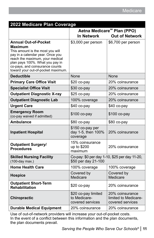<span id="page-12-0"></span>

| 2022 Medicare Plan Coverage                                                                                                                                                                                                                                   |                                                                      |                                                             |
|---------------------------------------------------------------------------------------------------------------------------------------------------------------------------------------------------------------------------------------------------------------|----------------------------------------------------------------------|-------------------------------------------------------------|
|                                                                                                                                                                                                                                                               | Aetna Medicare <sup>5M</sup> Plan (PPO)                              |                                                             |
|                                                                                                                                                                                                                                                               | <b>Out of Network</b><br><b>In Network</b>                           |                                                             |
| <b>Annual Out-of-Pocket</b><br>Maximum<br>This amount is the most you will<br>pay in a calendar year. Once you<br>reach the maximum, your medical<br>plan pays 100%. What you pay in<br>co-pays, and coinsurance counts<br>toward your out-of-pocket maximum. | \$3,000 per person                                                   | \$6,700 per person                                          |
| <b>Deductible</b>                                                                                                                                                                                                                                             | None                                                                 | None                                                        |
| <b>Primary Care Office Visit</b>                                                                                                                                                                                                                              | \$20 co-pay                                                          | 20% coinsurance                                             |
| <b>Specialist Office Visit</b>                                                                                                                                                                                                                                | \$30 co-pay                                                          | 20% coinsurance                                             |
| <b>Outpatient Diagnostic X-ray</b>                                                                                                                                                                                                                            | \$25 co-pay                                                          | 20% coinsurance                                             |
| <b>Outpatient Diagnostic Lab</b>                                                                                                                                                                                                                              | 100% coverage                                                        | 20% coinsurance                                             |
| <b>Urgent Care</b>                                                                                                                                                                                                                                            | $$40$ co-pay                                                         | $$40$ co-pay                                                |
| <b>Emergency Room</b><br>(co-pay waived if admitted)                                                                                                                                                                                                          | \$100 co-pay                                                         | \$100 co-pay                                                |
| <b>Ambulance</b>                                                                                                                                                                                                                                              | \$80 co-pay                                                          | \$80 co-pay                                                 |
| <b>Inpatient Hospital</b>                                                                                                                                                                                                                                     | \$150 co-pay per<br>day 1-5, then 100%<br>coverage                   | 20% coinsurance                                             |
| <b>Outpatient Surgery/</b><br><b>Procedures</b>                                                                                                                                                                                                               | 15% coinsurance<br>up to \$200<br>maximum                            | 20% coinsurance                                             |
| <b>Skilled Nursing Facility</b><br>(100-day max.)                                                                                                                                                                                                             | Co-pay: \$0 per day 1-10, \$25 per day 11-20,<br>\$50 per day 21-100 |                                                             |
| <b>Home Health Care</b>                                                                                                                                                                                                                                       | 100% coverage                                                        | 100% coverage                                               |
| <b>Hospice</b>                                                                                                                                                                                                                                                | Covered by<br>Medicare                                               | Covered by<br>Medicare                                      |
| <b>Outpatient Short-Term</b><br><b>Rehabilitation</b>                                                                                                                                                                                                         | $$20$ co-pay                                                         | 20% coinsurance                                             |
| <b>Chiropractic</b>                                                                                                                                                                                                                                           | \$20 co-pay limited<br>to Medicare-<br>covered services              | 20% coinsurance<br>limited to Medicare-<br>covered services |
| <b>Durable Medical Equipment</b>                                                                                                                                                                                                                              | 20% coinsurance                                                      | 20% coinsurance                                             |

Use of out-of-network providers will increase your out-of-pocket costs. In the event of a conflict between this information and the plan documents, the plan documents prevail.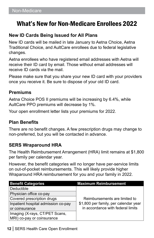# <span id="page-13-0"></span>What's New for Non-Medicare Enrollees 2022

### **New ID Cards Being Issued for All Plans**

New ID cards will be mailed in late January to Aetna Choice, Aetna Traditional Choice, and AultCare enrollees due to federal legislative changes.

Aetna enrollees who have registered email addresses with Aetna will receive their ID card by email. Those without email addresses will receive ID cards via the mail.

Please make sure that you share your new ID card with your providers once you receive it. Be sure to dispose of your old ID card.

#### **Premiums**

Aetna Choice POS II premiums will be increasing by 6.4%, while AultCare PPO premiums will decrease by 1%.

Your open enrollment letter lists your premiums for 2022.

#### **Plan Benefits**

There are no benefit changes. A few prescription drugs may change to non-preferred, but you will be contacted in advance.

#### **SERS Wraparound HRA**

The Health Reimbursement Arrangement (HRA) limit remains at \$1,800 per family per calendar year.

However, the benefit categories will no longer have per-service limits on out-of-pocket reimbursements. This will likely provide higher Wraparound HRA reimbursement for you and your family in 2022.

| <b>Benefit Categories</b>           | <b>Maximum Reimbursement</b>          |
|-------------------------------------|---------------------------------------|
| Deductible                          |                                       |
| Physician office co-pay             |                                       |
| Covered prescription drugs          | Reimbursements are limited to         |
| Inpatient hospital admission co-pay | \$1,800 per family, per calendar year |
| or coinsurance                      | in accordance with federal limits     |
| Imaging (X-rays, CT/PET Scans,      |                                       |
| MRI) co-pay or coinsurance          |                                       |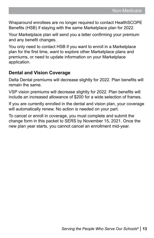Wraparound enrollees are no longer required to contact HealthSCOPE Benefits (HSB) if staying with the same Marketplace plan for 2022.

Your Marketplace plan will send you a letter confirming your premium and any benefit changes.

You only need to contact HSB if you want to enroll in a Marketplace plan for the first time, want to explore other Marketplace plans and premiums, or need to update information on your Marketplace application.

## **Dental and Vision Coverage**

Delta Dental premiums will decrease slightly for 2022. Plan benefits will remain the same.

VSP vision premiums will decrease slightly for 2022. Plan benefits will include an increased allowance of \$200 for a wide selection of frames.

If you are currently enrolled in the dental and vision plan, your coverage will automatically renew. No action is needed on your part.

To cancel or enroll in coverage, you must complete and submit the change form in this packet to SERS by November 15, 2021. Once the new plan year starts, you cannot cancel an enrollment mid-year.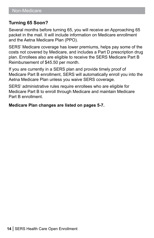## **Turning 65 Soon?**

Several months before turning 65, you will receive an Approaching 65 packet in the mail. It will include information on Medicare enrollment and the Aetna Medicare Plan (PPO).

SERS' Medicare coverage has lower premiums, helps pay some of the costs not covered by Medicare, and includes a Part D prescription drug plan. Enrollees also are eligible to receive the SERS Medicare Part B Reimbursement of \$45.50 per month.

If you are currently in a SERS plan and provide timely proof of Medicare Part B enrollment, SERS will automatically enroll you into the Aetna Medicare Plan unless you waive SERS coverage.

SERS' administrative rules require enrollees who are eligible for Medicare Part B to enroll through Medicare and maintain Medicare Part B enrollment.

**Medicare Plan changes are listed on pages 5-7.**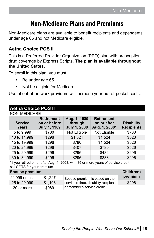# Non-Medicare Plans and Premiums

<span id="page-16-0"></span>Non-Medicare plans are available to benefit recipients and dependents under age 65 and not Medicare eligible.

# **Aetna Choice POS II**

This is a Preferred Provider Organization (PPO) plan with prescription drug coverage by Express Scripts. **The plan is available throughout the United States.** 

To enroll in this plan, you must:

- Be under age 65
- **Not be eligible for Medicare**

Use of out-of-network providers will increase your out-of-pocket costs.

| <b>Aetna Choice POS II</b>                                                                                        |                                                          |                                                 |                                                   |                                        |
|-------------------------------------------------------------------------------------------------------------------|----------------------------------------------------------|-------------------------------------------------|---------------------------------------------------|----------------------------------------|
| NON-MEDICARE                                                                                                      |                                                          |                                                 |                                                   |                                        |
| <b>Service</b><br><b>Years</b>                                                                                    | <b>Retirement</b><br>on or before<br><b>July 1, 1989</b> | Aug. 1, 1989<br>through<br><b>July 1, 2008</b>  | <b>Retirement</b><br>on or after<br>Aug. 1, 2008* | <b>Disability</b><br><b>Recipients</b> |
| 5 to 9.999                                                                                                        | \$780                                                    | Not Eligible                                    | Not Eligible                                      | \$780                                  |
| 10 to 14,999                                                                                                      | \$296                                                    | \$1,524                                         | \$1,524                                           | \$526                                  |
| 15 to 19,999                                                                                                      | \$296                                                    | \$780                                           | \$1,524                                           | \$526                                  |
| 20 to 24,999                                                                                                      | \$296                                                    | \$407                                           | \$780                                             | \$526                                  |
| 25 to 29.999                                                                                                      | \$296                                                    | \$296                                           | \$482                                             | \$296                                  |
| 30 to 34.999                                                                                                      | \$296                                                    | \$296                                           | \$333                                             | \$296                                  |
| *If you retired on or after Aug. 1, 2008, with 35 or more years of service credit,<br>call SERS for your premium. |                                                          |                                                 |                                                   |                                        |
| <b>Spouse premium</b><br>Child(ren)                                                                               |                                                          |                                                 |                                                   |                                        |
| 24.999 or less                                                                                                    | \$1,227                                                  | Spouse premium is based on the                  |                                                   | premium                                |
| 25 to 29,999                                                                                                      | \$1,108                                                  | \$296<br>service retiree, disability recipient, |                                                   |                                        |
| 30 or more                                                                                                        | \$989                                                    | or member's service credit.                     |                                                   |                                        |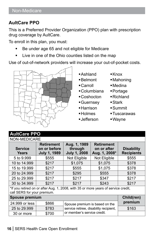## **AultCare PPO**

This is a Preferred Provider Organization (PPO) plan with prescription drug coverage by AultCare.

To enroll in this plan, you must:

- Be under age 65 and not eligible for Medicare
- Live in one of the Ohio counties listed on the map

Use of out-of-network providers will increase your out-of-pocket costs.



- Ashland
- Belmont
- Carroll
- Columbiana
- Coshocton
- Guernsey
- Harrison
- Holmes
- Jefferson
- ■Knox
- Mahoning
- Medina
- Portage
- Richland
- Stark
- Summit
- Tuscarawas
- Wayne

# **AultCare PPO**

| NON-MEDICARE                                                                                                      |                                                          |                                                |                                                   |                                        |
|-------------------------------------------------------------------------------------------------------------------|----------------------------------------------------------|------------------------------------------------|---------------------------------------------------|----------------------------------------|
| <b>Service</b><br><b>Years</b>                                                                                    | <b>Retirement</b><br>on or before<br><b>July 1, 1989</b> | Aug. 1, 1989<br>through<br><b>July 1, 2008</b> | <b>Retirement</b><br>on or after<br>Aug. 1, 2008* | <b>Disability</b><br><b>Recipients</b> |
| 5 to 9.999                                                                                                        | \$555                                                    | Not Eligible                                   | Not Eligible                                      | \$555                                  |
| 10 to 14.999                                                                                                      | \$217                                                    | \$1,075                                        | \$1,075                                           | \$378                                  |
| 15 to 19.999                                                                                                      | \$217                                                    | \$555                                          | \$1,075                                           | \$378                                  |
| 20 to 24,999                                                                                                      | \$217                                                    | \$295                                          | \$555                                             | \$378                                  |
| 25 to 29.999                                                                                                      | \$217                                                    | \$217                                          | \$347                                             | \$217                                  |
| 30 to 34.999                                                                                                      | \$217                                                    | \$217                                          | \$243                                             | \$217                                  |
| *If you retired on or after Aug. 1, 2008, with 35 or more years of service credit,<br>call SERS for your premium. |                                                          |                                                |                                                   |                                        |
| Spouse premium<br>Child(ren)                                                                                      |                                                          |                                                |                                                   |                                        |
| $24.999$ or less                                                                                                  | <b>RRAA</b><br>Contrato menseli un la banadora del       |                                                |                                                   | premium                                |

| 24.999 or less | \$866 | Spouse premium is based on the         | premium |
|----------------|-------|----------------------------------------|---------|
| 25 to 29.999   | \$783 | service retiree, disability recipient, | \$163   |
| 30 or more     | \$700 | or member's service credit.            |         |
|                |       |                                        |         |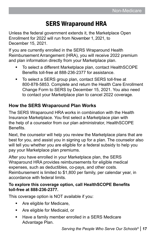# SERS Wraparound HRA

<span id="page-18-0"></span>Unless the federal government extends it, the Marketplace Open Enrollment for 2022 will run from November 1, 2021, to December 15, 2021.

If you are currently enrolled in the SERS Wraparound Health Reimbursement Arrangement (HRA), you will receive 2022 premium and plan information directly from your Marketplace plan.

- To select a different Marketplace plan, contact HealthSCOPE Benefits toll-free at 888-236-2377 for assistance.
- To select a SERS group plan, contact SERS toll-free at 800-878-5853. Complete and return the Health Care Enrollment Change Form to SERS by December 15, 2021. You also need to contact your Marketplace plan to cancel 2022 coverage.

# **How the SERS Wraparound Plan Works**

The SERS Wraparound HRA works in combination with the Health Insurance Marketplace. You first select a Marketplace plan with the help of a counselor from our plan administrator, HealthSCOPE Benefits.

Next, the counselor will help you review the Marketplace plans that are best for you, and assist you in signing up for a plan. The counselor also will tell you whether you are eligible for a federal subsidy to help you pay your Marketplace plan premiums.

After you have enrolled in your Marketplace plan, the SERS Wraparound HRA provides reimbursements for eligible medical expenses, such as deductibles, co-pays, and other costs. Reimbursement is limited to \$1,800 per family, per calendar year, in accordance with federal limits.

#### **To explore this coverage option, call HealthSCOPE Benefits toll-free at 888-236-2377.**

This coverage option is NOT available if you:

- **Are eligible for Medicare,**
- Are eligible for Medicaid, or
- **Have a family member enrolled in a SERS Medicare** Advantage Plan.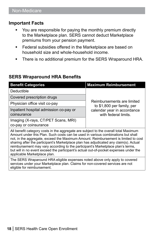#### **Important Facts**

- You are responsible for paying the monthly premium directly to the Marketplace plan. SERS cannot deduct Marketplace premiums from your pension payment.
- **Federal subsidies offered in the Marketplace are based on** household size and whole-household income.
- **There is no additional premium for the SERS Wraparound HRA.**

#### **SERS Wraparound HRA Benefits**

| <b>Benefit Categories</b>                                                                                                                                                                                                                                                                                                                                                                                                                                                                                                                                           | <b>Maximum Reimbursement</b>                             |  |
|---------------------------------------------------------------------------------------------------------------------------------------------------------------------------------------------------------------------------------------------------------------------------------------------------------------------------------------------------------------------------------------------------------------------------------------------------------------------------------------------------------------------------------------------------------------------|----------------------------------------------------------|--|
| Deductible                                                                                                                                                                                                                                                                                                                                                                                                                                                                                                                                                          |                                                          |  |
| Covered prescription drugs                                                                                                                                                                                                                                                                                                                                                                                                                                                                                                                                          |                                                          |  |
| Physician office visit co-pay                                                                                                                                                                                                                                                                                                                                                                                                                                                                                                                                       | Reimbursements are limited<br>to \$1,800 per family, per |  |
| Inpatient hospital admission co-pay or                                                                                                                                                                                                                                                                                                                                                                                                                                                                                                                              | calendar year in accordance                              |  |
| coinsurance                                                                                                                                                                                                                                                                                                                                                                                                                                                                                                                                                         | with federal limits.                                     |  |
| Imaging (X-rays, CT/PET Scans, MRI)                                                                                                                                                                                                                                                                                                                                                                                                                                                                                                                                 |                                                          |  |
| co-pay or coinsurance                                                                                                                                                                                                                                                                                                                                                                                                                                                                                                                                               |                                                          |  |
| All benefit category costs in the aggregate are subject to the overall total Maximum<br>Amount under this Plan. Such costs can be used in various combinations but shall<br>not, in the aggregate, exceed the Maximum Amount. Reimbursement is limited to cost<br>sharing after the participant's Marketplace plan has adjudicated any claim(s). Actual<br>reimbursement may vary according to the participant's Marketplace plan's terms,<br>but will in no event exceed the participant's actual out-of-pocket expenses under the<br>applicable Marketplace plan. |                                                          |  |
| The SERS Wraparound HRA eligible expenses noted above only apply to covered                                                                                                                                                                                                                                                                                                                                                                                                                                                                                         |                                                          |  |

services under your Marketplace plan. Claims for non-covered services are not eligible for reimbursement.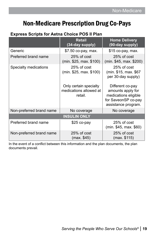# <span id="page-20-0"></span>Non-Medicare Prescription Drug Co-Pays

#### **Express Scripts for Aetna Choice POS II Plan**

|                          | <b>Retail</b><br>(34-day supply)                            | <b>Home Delivery</b><br>(90-day supply)                                                                     |  |  |
|--------------------------|-------------------------------------------------------------|-------------------------------------------------------------------------------------------------------------|--|--|
| Generic                  | \$7.50 co-pay, max.                                         | \$15 co-pay, max.                                                                                           |  |  |
| Preferred brand name     | 25% of cost<br>(min. \$25, max. \$100)                      | 25% of cost<br>(min. \$45, max. \$200)                                                                      |  |  |
| Specialty medications    | 25% of cost<br>(min. \$25, max. \$100)                      | 25% of cost<br>(min. \$15, max. \$67<br>per 30-day supply)                                                  |  |  |
|                          | Only certain specialty<br>medications allowed at<br>retail. | Different co-pay<br>amounts apply for<br>medications eligible<br>for SaveonSP co-pay<br>assistance program. |  |  |
| Non-preferred brand name | No coverage                                                 | No coverage                                                                                                 |  |  |
| <b>INSULIN ONLY</b>      |                                                             |                                                                                                             |  |  |
| Preferred brand name     | \$25 co-pay                                                 | 25% of cost<br>(min. \$45, max. \$60)                                                                       |  |  |
| Non-preferred brand name | 25% of cost<br>(max. \$45)                                  | 25% of cost<br>(max. \$115)                                                                                 |  |  |

In the event of a conflict between this information and the plan documents, the plan documents prevail.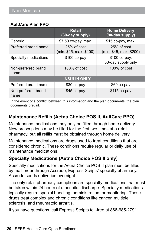#### **AultCare Plan PPO**

|                             | <b>Retail</b><br>(30-day supply)       | <b>Home Delivery</b><br>(90-day supply) |  |  |
|-----------------------------|----------------------------------------|-----------------------------------------|--|--|
| Generic                     | \$7.50 co-pay, max.                    | $$15$ co-pay, max.                      |  |  |
| Preferred brand name        | 25% of cost<br>(min. \$25, max. \$100) | 25% of cost<br>(min. \$45, max. \$200)  |  |  |
| Specialty medications       | \$100 co-pay                           | \$100 co-pay,<br>30-day supply only     |  |  |
| Non-preferred brand<br>name | $100\%$ of cost                        | $100\%$ of cost                         |  |  |
| <b>INSULIN ONLY</b>         |                                        |                                         |  |  |
| Preferred brand name        | $$30$ co-pay                           | \$60 co-pay                             |  |  |
| Non-preferred brand<br>name | $$45$ co-pay                           | \$115 co-pay                            |  |  |

In the event of a conflict between this information and the plan documents, the plan documents prevail.

# **Maintenance Refills (Aetna Choice POS II, AultCare PPO)**

Maintenance medications may only be filled through home delivery. New prescriptions may be filled for the first two times at a retail pharmacy, but all refills must be obtained through home delivery.

Maintenance medications are drugs used to treat conditions that are considered chronic. These conditions require regular or daily use of maintenance medications.

# **Specialty Medications (Aetna Choice POS II only)**

Specialty medications for the Aetna Choice POS II plan must be filled by mail order through Accredo, Express Scripts' specialty pharmacy. Accredo sends deliveries overnight.

The only retail pharmacy exceptions are specialty medications that must be taken within 24 hours of a hospital discharge. Specialty medications typically require special handling, administration, or monitoring. These drugs treat complex and chronic conditions like cancer, multiple sclerosis, and rheumatoid arthritis.

If you have questions, call Express Scripts toll-free at 866-685-2791.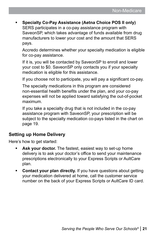**Specialty Co-Pay Assistance (Aetna Choice POS II only)** SERS participates in a co-pay assistance program with SaveonSP, which takes advantage of funds available from drug manufacturers to lower your cost and the amount that SERS pays.

Accredo determines whether your specialty medication is eligible for co-pay assistance.

If it is, you will be contacted by SaveonSP to enroll and lower your cost to \$0. SaveonSP only contacts you if your specialty medication is eligible for this assistance.

If you choose not to participate, you will pay a significant co-pay.

The specialty medications in this program are considered non-essential health benefits under the plan, and your co-pay expenses will not be applied toward satisfying the out-of-pocket maximum.

If you take a specialty drug that is not included in the co-pay assistance program with SaveonSP, your prescription will be subject to the specialty medication co-pays listed in the chart on page 19.

## **Setting up Home Delivery**

Here's how to get started:

- **Ask your doctor.** The fastest, easiest way to set-up home delivery is to ask your doctor's office to send your maintenance prescriptions electronically to your Express Scripts or AultCare plan.
- **Contact your plan directly.** If you have questions about getting your medication delivered at home, call the customer service number on the back of your Express Scripts or AultCare ID card.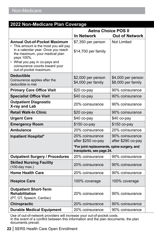<span id="page-23-0"></span>

| 2022 Non-Medicare Plan Coverage                                                                                                                                                                                                                                  |                                                                          |                                          |  |
|------------------------------------------------------------------------------------------------------------------------------------------------------------------------------------------------------------------------------------------------------------------|--------------------------------------------------------------------------|------------------------------------------|--|
|                                                                                                                                                                                                                                                                  | <b>Aetna Choice POS II</b>                                               |                                          |  |
|                                                                                                                                                                                                                                                                  | <b>In Network</b>                                                        | <b>Out of Network</b>                    |  |
| <b>Annual Out-of-Pocket Maximum</b><br>• This amount is the most you will pay<br>in a calendar year. Once you reach<br>the maximum, your medical plan<br>pays 100%.<br>• What you pay in co-pays and<br>coinsurance counts toward your<br>out-of-pocket maximum. | \$7,350 per person<br>\$14,700 per family                                | <b>Not Limited</b>                       |  |
| <b>Deductible</b><br>Coinsurance applies after the<br>deductible is met                                                                                                                                                                                          | \$2,000 per person<br>\$4,000 per family                                 | \$4,000 per person<br>\$8,000 per family |  |
| <b>Primary Care Office Visit</b>                                                                                                                                                                                                                                 | \$20 co-pay                                                              | 90% coinsurance                          |  |
| <b>Specialist Office Visit</b>                                                                                                                                                                                                                                   | $$40$ co-pay                                                             | 90% coinsurance                          |  |
| <b>Outpatient Diagnostic</b><br>X-ray and Lab                                                                                                                                                                                                                    | 20% coinsurance                                                          | 90% coinsurance                          |  |
| <b>Retail Walk-In Clinic</b>                                                                                                                                                                                                                                     | \$20 co-pay                                                              | 90% coinsurance                          |  |
| <b>Urgent Care</b>                                                                                                                                                                                                                                               | $$40$ co-pay                                                             | $$40$ co-pay                             |  |
| <b>Emergency Room</b>                                                                                                                                                                                                                                            | \$150 co-pay                                                             | \$150 co-pay                             |  |
| <b>Ambulance</b>                                                                                                                                                                                                                                                 | 20% coinsurance                                                          | 20% coinsurance                          |  |
| <b>Inpatient Hospital*</b>                                                                                                                                                                                                                                       | 20% coinsurance<br>after \$250 co-pay                                    | 90% coinsurance<br>after \$290 co-pay    |  |
|                                                                                                                                                                                                                                                                  | *For joint replacements, spine surgery, and<br>transplants, see page 24. |                                          |  |
| <b>Outpatient Surgery / Procedures</b>                                                                                                                                                                                                                           | 20% coinsurance                                                          | 90% coinsurance                          |  |
| <b>Skilled Nursing Facility</b><br>(100-day max.)                                                                                                                                                                                                                | 20% coinsurance                                                          | 90% coinsurance                          |  |
| <b>Home Health Care</b>                                                                                                                                                                                                                                          | 20% coinsurance                                                          | 90% coinsurance                          |  |
| <b>Hospice Care</b>                                                                                                                                                                                                                                              | 100% coverage                                                            | 100% coverage                            |  |
| <b>Outpatient Short-Term</b><br><b>Rehabilitation</b><br>(PT, OT, Speech, Cardiac)                                                                                                                                                                               | 20% coinsurance                                                          | 90% coinsurance                          |  |
| <b>Chiropractic</b>                                                                                                                                                                                                                                              | 20% coinsurance                                                          | 90% coinsurance                          |  |
| <b>Durable Medical Equipment</b>                                                                                                                                                                                                                                 | 20% coinsurance                                                          | 90% coinsurance                          |  |

Use of out-of-network providers will increase your out-of-pocket costs. In the event of a conflict between this information and the plan documents, the plan documents prevail.

**22** | SERS Health Care Open Enrollment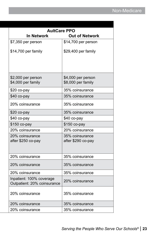| <b>AultCare PPO</b>                                     |                                          |
|---------------------------------------------------------|------------------------------------------|
| <b>In Network</b>                                       | <b>Out of Network</b>                    |
| \$7,350 per person                                      | \$14,700 per person                      |
| \$14,700 per family                                     | \$29,400 per family                      |
| \$2,000 per person<br>\$4,000 per family                | \$4,000 per person<br>\$8,000 per family |
| \$20 co-pay                                             | 35% coinsurance                          |
| \$40 co-pay                                             | 35% coinsurance                          |
| 20% coinsurance                                         | 35% coinsurance                          |
| \$20 co-pay                                             | 35% coinsurance                          |
| \$40 co-pay                                             | \$40 co-pay                              |
| \$150 co-pay                                            | \$150 co-pay                             |
| 20% coinsurance                                         | 20% coinsurance                          |
| 20% coinsurance<br>after \$250 co-pay                   | 35% coinsurance<br>after \$290 co-pay    |
| 20% coinsurance                                         | 35% coinsurance                          |
| 20% coinsurance                                         | 35% coinsurance                          |
| 20% coinsurance                                         | 35% coinsurance                          |
| Inpatient: 100% coverage<br>Outpatient: 20% coinsurance | 20% coinsurance                          |
| 20% coinsurance                                         | 35% coinsurance                          |
| 20% coinsurance                                         | 35% coinsurance                          |
| 20% coinsurance                                         | 35% coinsurance                          |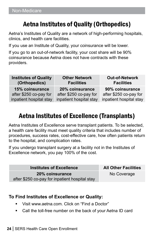# <span id="page-25-0"></span>Aetna Institutes of Quality (Orthopedics)

Aetna's Institutes of Quality are a network of high-performing hospitals, clinics, and health care facilities.

If you use an Institute of Quality, your coinsurance will be lower.

If you go to an out-of-network facility, your cost share will be 90% coinsurance because Aetna does not have contracts with these providers.

| <b>Institutes of Quality</b> | <b>Other Network</b>    | <b>Out-of-Network</b>   |
|------------------------------|-------------------------|-------------------------|
| (Orthopedics)                | <b>Facilities</b>       | <b>Facilities</b>       |
| 15% coinsurance              | 20% coinsurance         | 90% coinsurance         |
| after \$250 co-pay for       | after \$250 co-pay for  | after \$250 co-pay for  |
| inpatient hospital stay      | inpatient hospital stay | inpatient hospital stay |

# Aetna Institutes of Excellence (Transplants)

Aetna Institutes of Excellence serve transplant patients. To be selected, a health care facility must meet quality criteria that includes number of procedures, success rates, cost-effective care, how often patients return to the hospital, and complication rates.

If you undergo transplant surgery at a facility not in the Institutes of Excellence network, you pay 100% of the cost.

**Institutes of Excellence All Other Facilities 20% coinsurance** after \$250 co-pay for inpatient hospital stay

No Coverage

# **To Find Institutes of Excellence or Quality:**

- Visit www.aetna.com. Click on "Find a Doctor"
- Call the toll-free number on the back of your Aetna ID card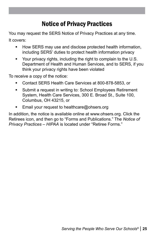# Notice of Privacy Practices

<span id="page-26-0"></span>You may request the SERS Notice of Privacy Practices at any time. It covers:

- **How SERS may use and disclose protected health information,** including SERS' duties to protect health information privacy
- Your privacy rights, including the right to complain to the U.S. Department of Health and Human Services, and to SERS, if you think your privacy rights have been violated

To receive a copy of the notice:

- Contact SERS Health Care Services at 800-878-5853, or
- **Submit a request in writing to: School Employees Retirement** System, Health Care Services, 300 E. Broad St., Suite 100, Columbus, OH 43215, or
- Email your request to healthcare@ohsers.org

In addition, the notice is available online at www.ohsers.org. Click the Retirees icon, and then go to "Forms and Publications." The *Notice of Privacy Practices – HIPAA* is located under "Retiree Forms."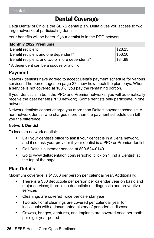#### <span id="page-27-0"></span>Dental **Dental**

# Dental Coverage

Delta Dental of Ohio is the SERS dental plan. Delta gives you access to two large networks of participating dentists.

Your benefits will be better if your dentist is in the PPO network.

| <b>Monthly 2022 Premiums</b>                   |         |  |  |
|------------------------------------------------|---------|--|--|
| Benefit recipient                              | \$28.25 |  |  |
| Benefit recipient and one dependent*           | \$56.50 |  |  |
| Benefit recipient, and two or more dependents* | \$84.98 |  |  |

\* A dependent can be a spouse or a child

## **Payment**

Network dentists have agreed to accept Delta's payment schedule for various services. The percentages on page 27 show how much the plan pays. When a service is not covered at 100%, you pay the remaining portion.

If your dentist is in both the PPO and Premier networks, you will automatically receive the best benefit (PPO network). Some dentists only participate in one network.

Network dentists cannot charge you more than Delta's payment schedule. A non-network dentist who charges more than the payment schedule can bill you the difference.

#### **Network Dentist**

To locate a network dentist:

- Call your dentist's office to ask if your dentist is in a Delta network, and if so, ask your provider if your dentist is a PPO or Premier dentist
- Call Delta's customer service at 800-524-0149
- Go to www.deltadentaloh.com/sersohio; click on "Find a Dentist" at the top of the page

# **Plan Details**

Maximum coverage is \$1,500 per person per calendar year. Additionally:

- There is a \$50 deductible per person per calendar year on basic and major services; there is no deductible on diagnostic and preventive services
- **EXEC** Cleanings are covered twice per calendar year
- Two additional cleanings are covered per calendar year for individuals with a documented history of periodontal disease
- Crowns, bridges, dentures, and implants are covered once per tooth per eight-year period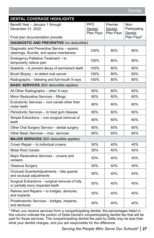| <b>DENTAL COVERAGE HIGHLIGHTS</b>                                                        |                                    |                                 |                                  |  |  |
|------------------------------------------------------------------------------------------|------------------------------------|---------------------------------|----------------------------------|--|--|
| Benefit Year - January 1 through<br>December 31, 2022                                    | <b>PPO</b><br>Dentist<br>Plan Pays | Premier<br>Dentist<br>Plan Pays | Non-<br>Participating<br>Dentist |  |  |
| Final plan documentation prevails                                                        |                                    |                                 | Plan Pays*                       |  |  |
| <b>DIAGNOSTIC AND PREVENTIVE (no deductible)</b>                                         |                                    |                                 |                                  |  |  |
| Diagnostic and Preventive Service - exams,<br>cleanings, fluoride, and space maintainers | 100%                               | 80%                             | 80%                              |  |  |
| Emergency Palliative Treatment - to<br>temporarily relieve pain                          | 100%                               | 80%                             | 80%                              |  |  |
| Sealants - to prevent decay of permanent teeth                                           | 100%                               | 80%                             | 80%                              |  |  |
| Brush Biopsy - to detect oral cancer                                                     | 100%                               | 80%                             | 80%                              |  |  |
| Radiographs - bitewing and full-mouth X-rays                                             | 100%                               | 80%                             | 80%                              |  |  |
| <b>BASIC SERVICES</b> (\$50 deductible applies)                                          |                                    |                                 |                                  |  |  |
| All Other Radiographs - other X-rays                                                     | 80%                                | 60%                             | 60%                              |  |  |
| Minor Restorative Services - fillings                                                    | 80%                                | 60%                             | 60%                              |  |  |
| Endodontic Services – root canals other than<br>molar teeth                              | 80%                                | 60%                             | 60%                              |  |  |
| Periodontic Services - to treat gum disease                                              | 80%                                | 60%                             | 60%                              |  |  |
| Simple Extractions - non-surgical removal of<br>teeth                                    | 80%                                | 60%                             | 60%                              |  |  |
| Other Oral Surgery Service - dental surgery                                              | 80%                                | 60%                             | 60%                              |  |  |
| Other Basic Services - misc. services                                                    | 80%                                | 60%                             | 60%                              |  |  |
| <b>MAJOR SERVICES</b> (\$50 deductible applies)                                          |                                    |                                 |                                  |  |  |
| Crown Repair - to individual crowns                                                      | 50%                                | 40%                             | 40%                              |  |  |
| <b>Molar Root Canals</b>                                                                 | 50%                                | 40%                             | 40%                              |  |  |
| Major Restorative Services - crowns and<br>veneers                                       | 50%                                | 40%                             | 40%                              |  |  |
| <b>Osseous Surgery</b>                                                                   | 50%                                | 40%                             | 40%                              |  |  |
| Occlusal Guards/Adjustments - bite guards<br>and occlusal adjustments                    | 50%                                | 40%                             | 40%                              |  |  |
| Surgical Extractions - surgical removal of fully<br>or partially bony impacted teeth     | 50%                                | 40%                             | 40%                              |  |  |
| Relines and Repairs - to bridges, dentures,<br>and implants                              | 50%                                | 40%                             | 40%                              |  |  |
| Prosthodontic Services - bridges, implants,<br>and dentures                              | 50%                                | 40%                             | 40%                              |  |  |

\* When you receive services from a nonparticipating dentist, the percentages listed in this column indicate the portion of Delta Dental's nonparticipating dentist fee that will be paid for those services. The nonparticipating dentist fee paid by Delta may be less than what your dentist charges, and you are responsible for the difference.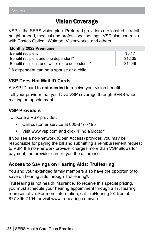# Vision Coverage

<span id="page-29-0"></span>VSP is the SERS vision plan. Preferred providers are located in retail, neighborhood, medical and professional settings. VSP also contracts with Costco Optical, Walmart, Visionworks, and others.

| <b>Monthly 2022 Premiums</b>                   |         |  |  |
|------------------------------------------------|---------|--|--|
| Benefit recipient                              | \$6.17  |  |  |
| Benefit recipient and one dependent*           | \$12.35 |  |  |
| Benefit recipient, and two or more dependents* | \$14.49 |  |  |

\* A dependent can be a spouse or a child

# **VSP Does Not Mail ID Cards**

A VSP ID card **is not needed** to receive your vision benefit.

Tell your provider that you have VSP coverage through SERS when making an appointment.

# **VSP Providers**

To locate a VSP provider:

- Call customer service at 800-877-7195
- Visit www.vsp.com and click "Find a Doctor"

If you see a non-network (Open Access) provider, you may be responsible for paying the bill and submitting a reimbursement request to VSP. If a non-network provider charges more than VSP allows for payment, the provider can bill you the difference.

# **Access to Savings on Hearing Aids: TruHearing**

You and your extended family members also have the opportunity to save on hearing aids through TruHearing®.

TruHearing is not health insurance. To receive this special pricing, you must schedule your hearing appointment through a TruHearing representative. For more information, call TruHearing toll-free at 877-396-7194, or visit www.truhearing.com/vsp.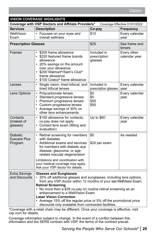| <b>VISION COVERAGE HIGHLIGHTS</b>                                                   |                                                                                                                                                                                                                                                                                                                                                                                                                                                                                  |                                        |                              |  |
|-------------------------------------------------------------------------------------|----------------------------------------------------------------------------------------------------------------------------------------------------------------------------------------------------------------------------------------------------------------------------------------------------------------------------------------------------------------------------------------------------------------------------------------------------------------------------------|----------------------------------------|------------------------------|--|
| Coverage with VSP Doctors and Affiliate Providers*<br>Coverage Effective 01/01/2022 |                                                                                                                                                                                                                                                                                                                                                                                                                                                                                  |                                        |                              |  |
| <b>Services</b>                                                                     | <b>Description</b>                                                                                                                                                                                                                                                                                                                                                                                                                                                               | Co-pay                                 | <b>Frequency</b>             |  |
| WellVision<br>Exam                                                                  | • Focuses on your eyes and<br>overall wellness                                                                                                                                                                                                                                                                                                                                                                                                                                   | \$10                                   | Every calendar<br>year       |  |
| <b>Prescription Glasses</b>                                                         |                                                                                                                                                                                                                                                                                                                                                                                                                                                                                  | \$25                                   | See frame and<br>lenses      |  |
| Frames                                                                              | \$200 frame allowance<br>• \$220 featured frame brands<br>allowance<br>• 20% savings on the amount<br>over your allowance<br>\$200 Walmart <sup>®</sup> /Sam's Club <sup>®</sup><br>$\bullet$<br>frame allowance<br>\$100 Costco® frame allowance                                                                                                                                                                                                                                | Included in<br>prescription<br>qlasses | Every other<br>calendar year |  |
| Lenses                                                                              | • Single vision, lined bifocal, and<br>lined trifocal lenses                                                                                                                                                                                                                                                                                                                                                                                                                     | Included in<br>prescription glasses    | Every calendar<br>year       |  |
| Lens Options                                                                        | • Polycarbonate lenses<br>• Standard progressive lenses<br>• Premium progressive lenses<br>• Custom progressive lenses<br>• Average savings of 30% on<br>other lens enhancements                                                                                                                                                                                                                                                                                                 | \$0<br>\$0<br>\$50<br>\$50             | Every calendar<br>year       |  |
| Contacts<br>(instead of<br>glasses)                                                 | • \$150 allowance for contacts;<br>co-pay does not apply<br>• Contact lens exam (fitting and<br>evaluation)                                                                                                                                                                                                                                                                                                                                                                      | Up to \$60                             | Every calendar<br>year       |  |
| <b>Diabetic</b><br><b>Eyecare Plus</b><br>Program                                   | • Retinal screening for members<br>with diabetes<br>• Additional exams and services<br>for members with diabetic eye<br>disease, glaucoma, or age-<br>related macular degeneration<br>Limitations and coordination with<br>your medical coverage may apply.<br>Ask your VSP doctor for details.                                                                                                                                                                                  | \$0<br>\$20 per exam                   | As needed                    |  |
| <b>Extra Savings</b><br>and Discounts                                               | <b>Glasses and Sunglasses</b><br>• 20% off additional glasses and sunglasses, including lens options,<br>from any VSP doctor within 12 months of your last WellVision Exam.<br><b>Retinal Screening</b><br>• No more than a \$39 co-pay on routine retinal screening as an<br>enhancement to a WellVision Exam.<br><b>Laser Vision Correction</b><br>• Average 15% off the regular price or 5% off the promotional price<br>discounts only available from contracted facilities. |                                        |                              |  |

\*Coverage with a retail chain may be different. Once your coverage is effective, visit vsp.com for details.

Coverage information subject to change. In the event of a conflict between this information and the SERS contract with VSP, the terms of the contract prevail.